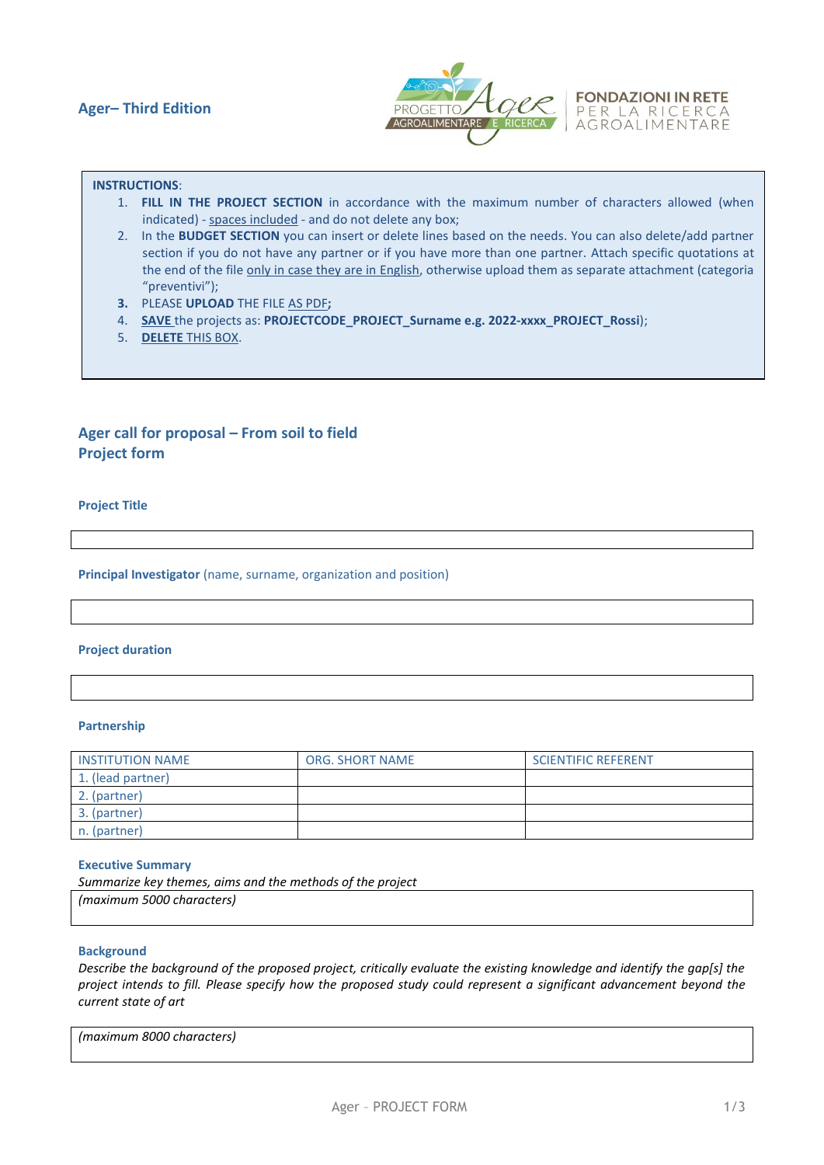

# **INSTRUCTIONS**:

- 1. **FILL IN THE PROJECT SECTION** in accordance with the maximum number of characters allowed (when indicated) - spaces included - and do not delete any box;
- 2. In the **BUDGET SECTION** you can insert or delete lines based on the needs. You can also delete/add partner section if you do not have any partner or if you have more than one partner. Attach specific quotations at the end of the file only in case they are in English, otherwise upload them as separate attachment (categoria "preventivi");
- **3.** PLEASE **UPLOAD** THE FILE AS PDF**;**
- 4. **SAVE** the projects as: **PROJECTCODE\_PROJECT\_Surname e.g. 2022-xxxx\_PROJECT\_Rossi**);
- 5. **DELETE** THIS BOX.

# **Ager call for proposal – From soil to field Project form**

**Project Title**

**Principal Investigator** (name, surname, organization and position)

# **Project duration**

#### **Partnership**

| <b>INSTITUTION NAME</b> | <b>ORG. SHORT NAME</b> | <b>SCIENTIFIC REFERENT</b> |
|-------------------------|------------------------|----------------------------|
| 1. (lead partner)       |                        |                            |
| 2. (partner)            |                        |                            |
| 3. (partner)            |                        |                            |
| n. (partner)            |                        |                            |

#### **Executive Summary**

*Summarize key themes, aims and the methods of the project (maximum 5000 characters)* 

# **Background**

*Describe the background of the proposed project, critically evaluate the existing knowledge and identify the gap[s] the project intends to fill. Please specify how the proposed study could represent a significant advancement beyond the current state of art*

*(maximum 8000 characters)*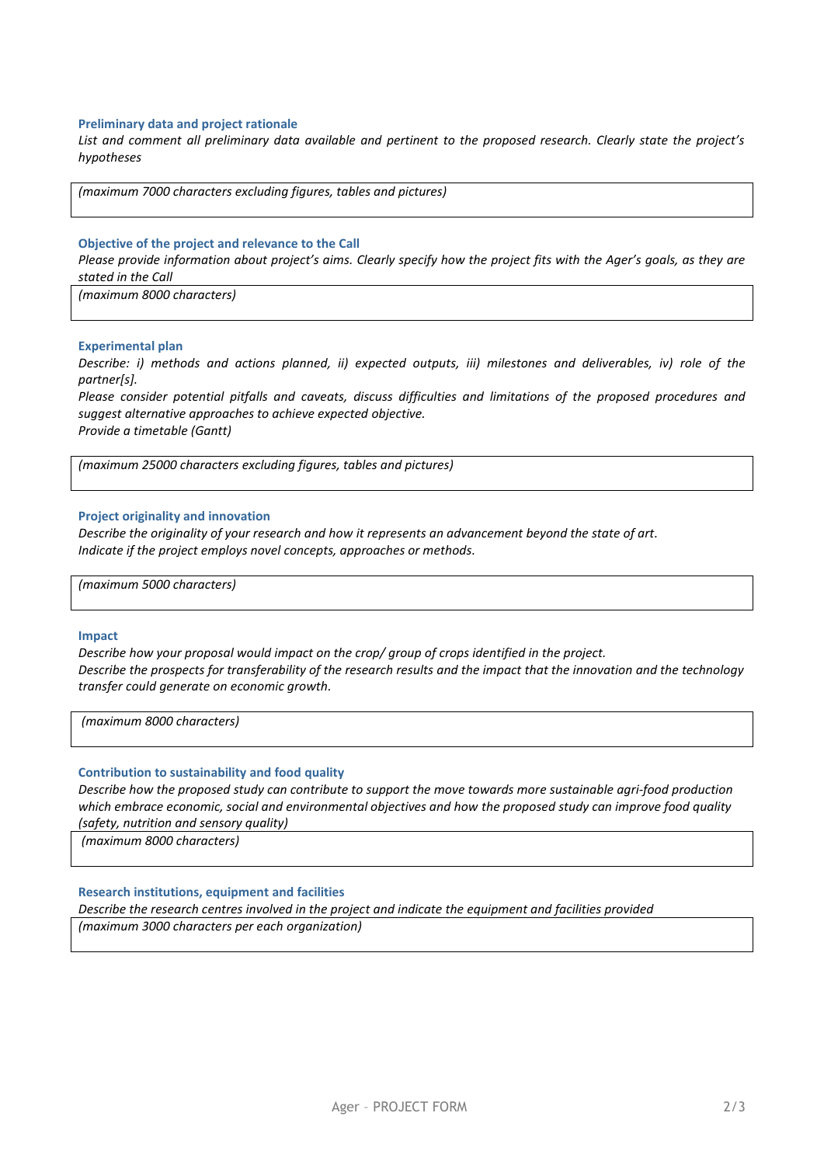#### **Preliminary data and project rationale**

*List and comment all preliminary data available and pertinent to the proposed research. Clearly state the project's hypotheses*

*(maximum 7000 characters excluding figures, tables and pictures)*

#### **Objective of the project and relevance to the Call**

*Please provide information about project's aims. Clearly specify how the project fits with the Ager's goals, as they are stated in the Call* 

*(maximum 8000 characters)*

#### **Experimental plan**

*Describe: i) methods and actions planned, ii) expected outputs, iii) milestones and deliverables, iv) role of the partner[s].* 

*Please consider potential pitfalls and caveats, discuss difficulties and limitations of the proposed procedures and suggest alternative approaches to achieve expected objective. Provide a timetable (Gantt)*

*(maximum 25000 characters excluding figures, tables and pictures)*

#### **Project originality and innovation**

*Describe the originality of your research and how it represents an advancement beyond the state of art. Indicate if the project employs novel concepts, approaches or methods.*

*(maximum 5000 characters)*

#### **Impact**

*Describe how your proposal would impact on the crop/ group of crops identified in the project. Describe the prospects for transferability of the research results and the impact that the innovation and the technology transfer could generate on economic growth.* 

*(maximum 8000 characters)*

#### **Contribution to sustainability and food quality**

*Describe how the proposed study can contribute to support the move towards more sustainable agri-food production which embrace economic, social and environmental objectives and how the proposed study can improve food quality* 

*(safety, nutrition and sensory quality)*

*(maximum 8000 characters)*

## **Research institutions, equipment and facilities**

*Describe the research centres involved in the project and indicate the equipment and facilities provided* 

*(maximum 3000 characters per each organization)*